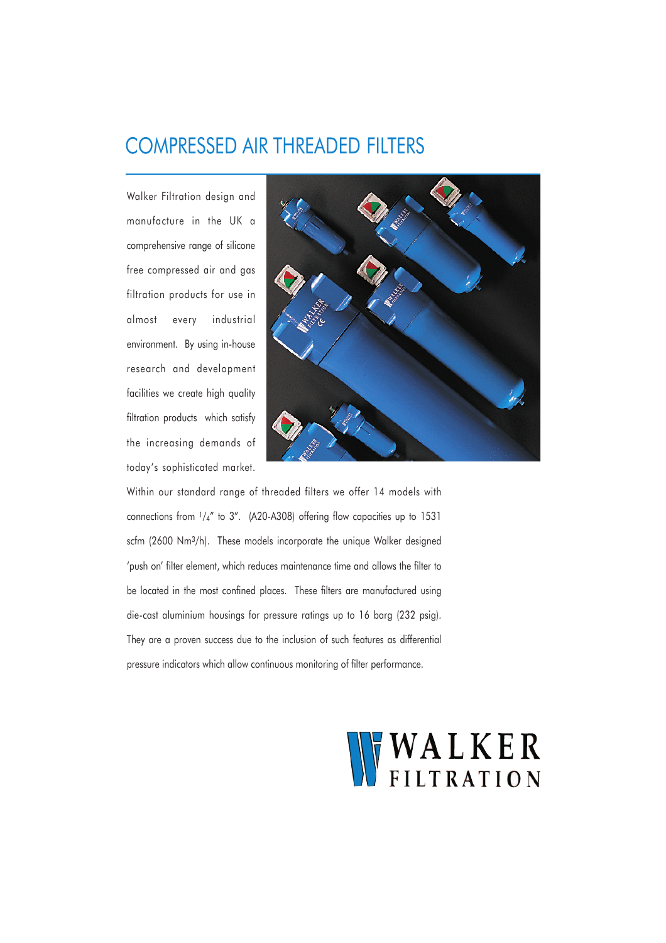## COMPRESSED AIR THREADED FILTERS

Walker Filtration design and manufacture in the UK a comprehensive range of silicone free compressed air and gas filtration products for use in almost every industrial environment. By using in-house research and development facilities we create high quality filtration products which satisfy the increasing demands of today's sophisticated market.



Within our standard range of threaded filters we offer 14 models with connections from 1/4" to 3". (A20-A308) offering flow capacities up to 1531 scfm (2600 Nm3/h). These models incorporate the unique Walker designed 'push on' filter element, which reduces maintenance time and allows the filter to be located in the most confined places. These filters are manufactured using die-cast aluminium housings for pressure ratings up to 16 barg (232 psig). They are a proven success due to the inclusion of such features as differential pressure indicators which allow continuous monitoring of filter performance.

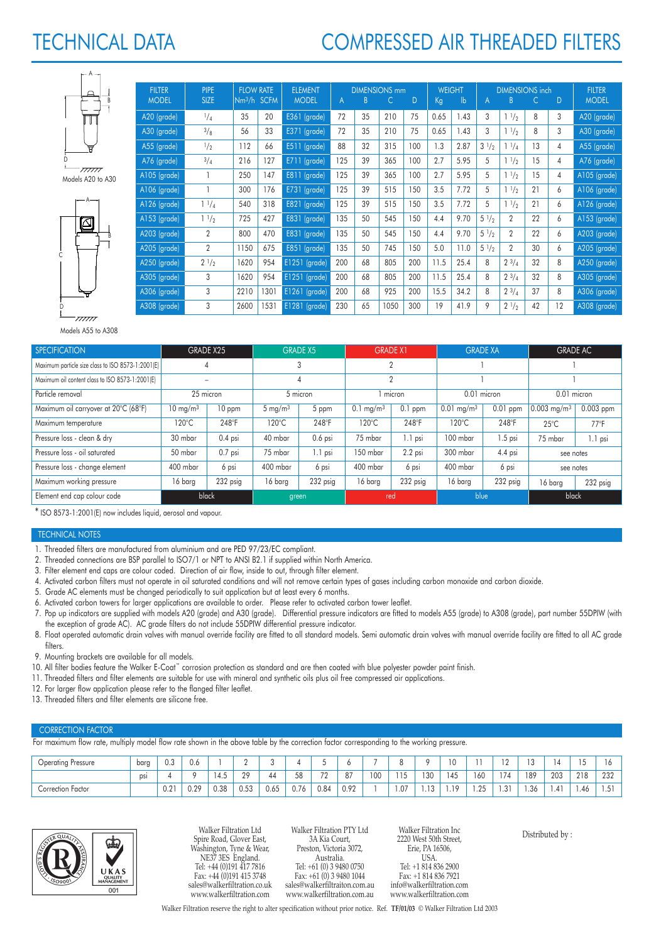# TECHNICAL DATA

# COMPRESSED AIR THREADED FILTERS

| $\overline{B}$ |
|----------------|
|                |
|                |
| 2              |

Models A20 to A30



| FILIER       | PIPE.           |      | <b>FLOW RAIE</b>        | ELEMENT       | <b>DIMENSIONS mm</b> |    |      |     |      | WEIGHT        | <b>DIMENSIONS inch</b> | FILIER          |    |                |              |
|--------------|-----------------|------|-------------------------|---------------|----------------------|----|------|-----|------|---------------|------------------------|-----------------|----|----------------|--------------|
| <b>MODEL</b> | <b>SIZE</b>     |      | Nm <sup>3</sup> /h SCFM | <b>MODEL</b>  | $\mathsf{A}$         | B  | С    | D   | Kg   | $\mathsf{lb}$ | A                      | B               | C  | D              | <b>MODEL</b> |
| A20 (grade)  | $^{1}/_{4}$     | 35   | 20                      | E361 (grade)  | 72                   | 35 | 210  | 75  | 0.65 | 1.43          | 3                      | $1\frac{1}{2}$  | 8  | 3              | A20 (grade)  |
| A30 (grade)  | 3/8             | 56   | 33                      | E371 (grade)  | 72                   | 35 | 210  | 75  | 0.65 | 1.43          | 3                      | 11/2            | 8  | 3              | A30 (grade)  |
| A55 (grade)  | $\frac{1}{2}$   | 112  | 66                      | E511 (grade)  | 88                   | 32 | 315  | 100 | 1.3  | 2.87          | $3^{1/2}$              | $1^{1}/_{4}$    | 13 | $\overline{4}$ | A55 (grade)  |
| A76 (grade)  | $^{3}/_{4}$     | 216  | 127                     | E711 (grade)  | 125                  | 39 | 365  | 100 | 2.7  | 5.95          | 5                      | 11/2            | 15 | 4              | A76 (grade)  |
| A105 (grade) |                 | 250  | 147                     | E811 (grade)  | 125                  | 39 | 365  | 100 | 2.7  | 5.95          | 5                      | 11/2            | 15 | 4              | A105 (grade) |
| A106 (grade) | 1               | 300  | 176                     | E731 (grade)  | 125                  | 39 | 515  | 150 | 3.5  | 7.72          | 5                      | 11/2            | 21 | 6              | A106 (grade) |
| A126 (grade) | $1 \frac{1}{4}$ | 540  | 318                     | E821 (grade)  | 125                  | 39 | 515  | 150 | 3.5  | 7.72          | 5                      | $1^{1/2}$       | 21 | 6              | A126 (grade) |
| A153 (grade) | 11/2            | 725  | 427                     | E831 (grade)  | 135                  | 50 | 545  | 150 | 4.4  | 9.70          | $5\frac{1}{2}$         | $\overline{2}$  | 22 | 6              | A153 (grade) |
| A203 (grade) | $\overline{2}$  | 800  | 470                     | E831 (grade)  | 135                  | 50 | 545  | 150 | 4.4  | 9.70          | $5\frac{1}{2}$         | $\overline{2}$  | 22 | 6              | A203 (grade) |
| A205 (grade) | $\overline{2}$  | 1150 | 675                     | E851 (grade)  | 135                  | 50 | 745  | 150 | 5.0  | 11.0          | $5\frac{1}{2}$         | $\overline{2}$  | 30 | 6              | A205 (grade) |
| A250 (grade) | $2\frac{1}{2}$  | 1620 | 954                     | E1251 (grade) | 200                  | 68 | 805  | 200 | 11.5 | 25.4          | 8                      | $2^{3}/4$       | 32 | 8              | A250 (grade) |
| A305 (grade) | 3               | 1620 | 954                     | E1251 (grade) | 200                  | 68 | 805  | 200 | 11.5 | 25.4          | 8                      | $2 \frac{3}{4}$ | 32 | 8              | A305 (grade) |
| A306 (grade) | 3               | 2210 | 1301                    | E1261 (grade) | 200                  | 68 | 925  | 200 | 15.5 | 34.2          | 8                      | $2^{3}/4$       | 37 | 8              | A306 (grade) |
| A308 (grade) | 3               | 2600 | 1531                    | E1281 (grade) | 230                  | 65 | 1050 | 300 | 19   | 41.9          | 9                      | $2\frac{1}{2}$  | 42 | 12             | A308 (grade) |

Models A55 to A308

| <b>SPECIFICATION</b>                              |                               | GRADE X25 |                    | <b>GRADE X5</b> | <b>GRADE X1</b>                   |           | <b>GRADE XA</b>                        |           | <b>GRADE AC</b>           |               |  |
|---------------------------------------------------|-------------------------------|-----------|--------------------|-----------------|-----------------------------------|-----------|----------------------------------------|-----------|---------------------------|---------------|--|
| Maximum particle size class to ISO 8573-1:2001(E) |                               |           |                    |                 |                                   |           |                                        |           |                           |               |  |
| Maximum oil content class to ISO 8573-1:2001(E)   |                               |           |                    |                 | ŋ                                 |           |                                        |           |                           |               |  |
| Particle removal                                  | 25 micron                     |           |                    | 5 micron        |                                   | micron    | 0.01 micron                            |           | 0.01 micron               |               |  |
| Maximum oil carryover at 20°C (68°F)              | 10 ppm<br>$10 \text{ mg/m}^3$ |           | $5 \text{ mg/m}^3$ | 5 ppm           | $0.1$ ppm<br>$0.1 \text{ mg/m}^3$ |           | $0.01$ ppm<br>$0.01$ mg/m <sup>3</sup> |           | $0.003$ mg/m <sup>3</sup> | $0.003$ ppm   |  |
| Maximum temperature                               | $120^{\circ}$ C<br>248°F      |           | $120^{\circ}$ C    | 248°F           | 120°C                             | 248°F     | $120^{\circ}$ C                        | 248°F     | $25^{\circ}$ C            | $77^{\circ}F$ |  |
| Pressure loss - clean & dry                       | 30 mbar                       | $0.4$ psi | 40 mbar            | $0.6$ psi       | 75 mbar                           | $1.1$ psi | 100 mbar                               | $1.5$ psi | 75 mbar                   | $1.1$ psi     |  |
| Pressure loss - oil saturated                     | 50 mbar                       | $0.7$ psi | 75 mbar            | $1.1$ psi       | 150 mbar                          | $2.2$ psi | 300 mbar                               | 4.4 psi   | see notes                 |               |  |
| Pressure loss - change element                    | 400 mbar                      | 6 psi     | 400 mbar           | 6 psi           | 400 mbar                          | 6 psi     | 400 mbar                               | 6 psi     | see notes                 |               |  |
| Maximum working pressure                          | 16 barg                       | 232 psig  | 16 barg            | 232 psig        | 16 barg                           | 232 psig  | 16 barg                                | 232 psig  | 16 barg                   | 232 psig      |  |
| Element end cap colour code                       |                               | black     | green              |                 | red                               |           | blue                                   |           | black                     |               |  |

\* ISO 8573-1:2001(E) now includes liquid, aerosol and vapour.

## TECHNICAL NOTES

- 1. Threaded filters are manufactured from aluminium and are PED 97/23/EC compliant.
- 2. Threaded connections are BSP parallel to ISO7/1 or NPT to ANSI B2.1 if supplied within North America.
- 3. Filter element end caps are colour coded. Direction of air flow, inside to out, through filter element.
- 4. Activated carbon filters must not operate in oil saturated conditions and will not remove certain types of gases including carbon monoxide and carbon dioxide.
- 5. Grade AC elements must be changed periodically to suit application but at least every 6 months.
- 6. Activated carbon towers for larger applications are available to order. Please refer to activated carbon tower leaflet.
- 7. Pop up indicators are supplied with models A20 (grade) and A30 (grade). Differential pressure indicators are fitted to models A55 (grade) to A308 (grade), part number 55DPIW (with the exception of grade AC). AC grade filters do not include 55DPIW differential pressure indicator.
- 8. Float operated automatic drain valves with manual override facility are fitted to all standard models. Semi automatic drain valves with manual override facility are fitted to all AC grade filters.
- 9. Mounting brackets are available for all models.
- 10. All filter bodies feature the Walker E-Coat™ corrosion protection as standard and are then coated with blue polyester powder paint finish.
- 11. Threaded filters and filter elements are suitable for use with mineral and synthetic oils plus oil free compressed air applications.
- 12. For larger flow application please refer to the flanged filter leaflet.
- 13. Threaded filters and filter elements are silicone free.

### CORRECTION FACTOR

For maximum flow rate, multiply model flow rate shown in the above table by the correction factor corresponding to the working pressure.

| <b>Operating Pressure</b> | barg | U.S           | v.o  |       |           |      |      | ັ       |      |     |                    |               | 10  | $ -$        | $\sim$<br>∸ |     |                            | $\sim$ $\sim$ | ۱o            |
|---------------------------|------|---------------|------|-------|-----------|------|------|---------|------|-----|--------------------|---------------|-----|-------------|-------------|-----|----------------------------|---------------|---------------|
|                           | psi  |               |      | ن. ۲۰ | 20<br>z ; | 44   | 58   | 70<br>∸ | 87   | 100 | $\sim$ $\sim$<br>. | 130           | 145 | 160         | 174         | 189 | 203                        | 218           | 232<br>$\sim$ |
| $ -$<br>Correction Factor |      | $\cap$<br>0.2 | 0.29 | 0.38  | 0.53      | 0.65 | 0.76 | 0.84    | 0.92 |     | .07                | 12<br>. . ا ب | 1 O | 1.95<br>ن ک | .31         | .36 | $\overline{A}$ 1<br>- 1.41 | 1.46          | $-1$<br>ا ب ا |



Walker Filtration Ltd Spire Road, Glover East, Washington, Tyne & Wear, NE37 3ES England. Tel: +44 (0)191 417 7816 Fax: +44 (0)191 415 3748 sales@walkerfiltration.co.uk www.walkerfiltration.com

Walker Filtration PTY Ltd 3A Kia Court, Preston, Victoria 3072, Australia. Tel: +61 (0) 3 9480 0750 Fax: +61 (0) 3 9480 1044 sales@walkerfiltraiton.com.au www.walkerfiltration.com.au

Walker Filtration Inc 2220 West 50th Street, Erie, PA 16506, USA. Tel: +1 814 836 2900 Fax: +1 814 836 7921 info@walkerfiltration.com www.walkerfiltration.com

Distributed by :

Walker Filtration reserve the right to alter specification without prior notice. Ref. **TF/01/03** © Walker Filtration Ltd 2003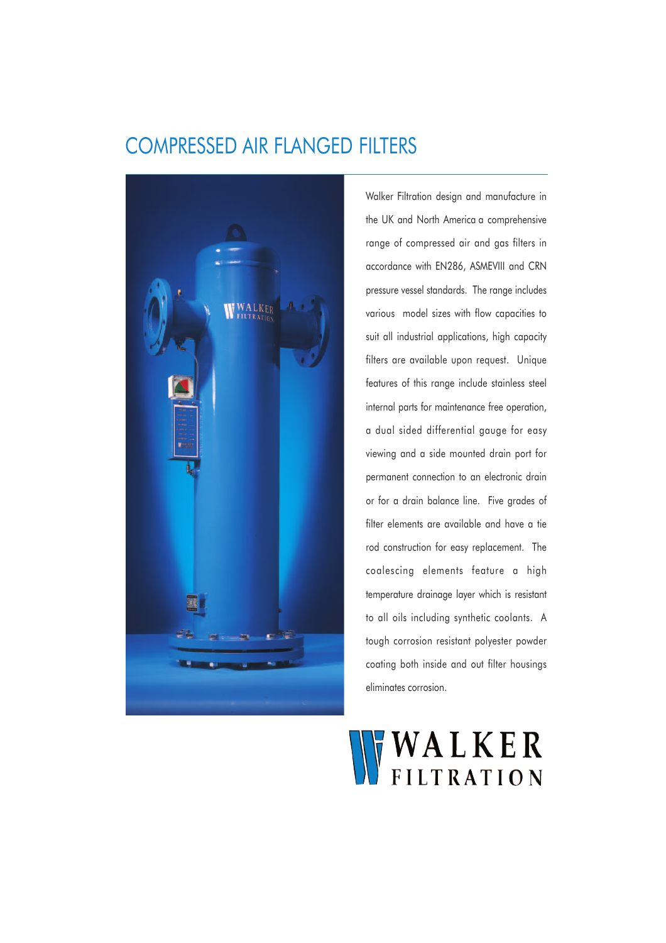## COMPRESSED AIR FLANGED FILTERS



Walker Filtration design and manufacture in the UK and North America a comprehensive range of compressed air and gas filters in accordance with EN286, ASMEVIII and CRN pressure vessel standards. The range includes various model sizes with flow capacities to suit all industrial applications, high capacity filters are available upon request. Unique features of this range include stainless steel internal parts for maintenance free operation, a dual sided differential gauge for easy viewing and a side mounted drain port for permanent connection to an electronic drain or for a drain balance line. Five grades of filter elements are available and have a tie rod construction for easy replacement. The coalescing elements feature a high temperature drainage layer which is resistant to all oils including synthetic coolants. A tough corrosion resistant polyester powder coating both inside and out filter housings eliminates corrosion.